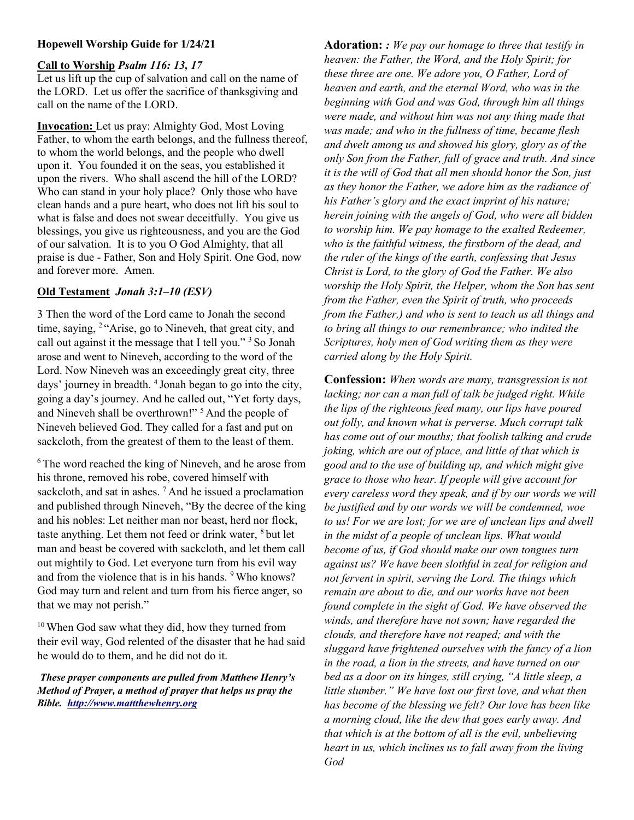## Hopewell Worship Guide for 1/24/21

#### Call to Worship Psalm 116: 13, 17

Let us lift up the cup of salvation and call on the name of the LORD. Let us offer the sacrifice of thanksgiving and call on the name of the LORD.

Invocation: Let us pray: Almighty God, Most Loving Father, to whom the earth belongs, and the fullness thereof, to whom the world belongs, and the people who dwell upon it. You founded it on the seas, you established it upon the rivers. Who shall ascend the hill of the LORD? Who can stand in your holy place? Only those who have clean hands and a pure heart, who does not lift his soul to what is false and does not swear deceitfully. You give us blessings, you give us righteousness, and you are the God of our salvation. It is to you O God Almighty, that all praise is due - Father, Son and Holy Spirit. One God, now and forever more. Amen.

# Old Testament Jonah 3:1–10 (ESV)

3 Then the word of the Lord came to Jonah the second time, saying, <sup>2</sup>"Arise, go to Nineveh, that great city, and call out against it the message that I tell you." <sup>3</sup> So Jonah arose and went to Nineveh, according to the word of the Lord. Now Nineveh was an exceedingly great city, three days' journey in breadth. <sup>4</sup>Jonah began to go into the city, going a day's journey. And he called out, "Yet forty days, and Nineveh shall be overthrown!"<sup>5</sup> And the people of Nineveh believed God. They called for a fast and put on sackcloth, from the greatest of them to the least of them.

<sup>6</sup>The word reached the king of Nineveh, and he arose from his throne, removed his robe, covered himself with sackcloth, and sat in ashes.<sup>7</sup> And he issued a proclamation and published through Nineveh, "By the decree of the king and his nobles: Let neither man nor beast, herd nor flock, taste anything. Let them not feed or drink water,  $8$  but let man and beast be covered with sackcloth, and let them call out mightily to God. Let everyone turn from his evil way and from the violence that is in his hands. <sup>9</sup>Who knows? God may turn and relent and turn from his fierce anger, so that we may not perish."

<sup>10</sup> When God saw what they did, how they turned from their evil way, God relented of the disaster that he had said he would do to them, and he did not do it.

These prayer components are pulled from Matthew Henry's Method of Prayer, a method of prayer that helps us pray the Bible. http://www.mattthewhenry.org

Adoration:  $:$  We pay our homage to three that testify in heaven: the Father, the Word, and the Holy Spirit; for these three are one. We adore you, O Father, Lord of heaven and earth, and the eternal Word, who was in the beginning with God and was God, through him all things were made, and without him was not any thing made that was made; and who in the fullness of time, became flesh and dwelt among us and showed his glory, glory as of the only Son from the Father, full of grace and truth. And since it is the will of God that all men should honor the Son, just as they honor the Father, we adore him as the radiance of his Father's glory and the exact imprint of his nature; herein joining with the angels of God, who were all bidden to worship him. We pay homage to the exalted Redeemer, who is the faithful witness, the firstborn of the dead, and the ruler of the kings of the earth, confessing that Jesus Christ is Lord, to the glory of God the Father. We also worship the Holy Spirit, the Helper, whom the Son has sent from the Father, even the Spirit of truth, who proceeds from the Father,) and who is sent to teach us all things and to bring all things to our remembrance; who indited the Scriptures, holy men of God writing them as they were carried along by the Holy Spirit.

Confession: When words are many, transgression is not lacking; nor can a man full of talk be judged right. While the lips of the righteous feed many, our lips have poured out folly, and known what is perverse. Much corrupt talk has come out of our mouths; that foolish talking and crude joking, which are out of place, and little of that which is good and to the use of building up, and which might give grace to those who hear. If people will give account for every careless word they speak, and if by our words we will be justified and by our words we will be condemned, woe to us! For we are lost; for we are of unclean lips and dwell in the midst of a people of unclean lips. What would become of us, if God should make our own tongues turn against us? We have been slothful in zeal for religion and not fervent in spirit, serving the Lord. The things which remain are about to die, and our works have not been found complete in the sight of God. We have observed the winds, and therefore have not sown; have regarded the clouds, and therefore have not reaped; and with the sluggard have frightened ourselves with the fancy of a lion in the road, a lion in the streets, and have turned on our bed as a door on its hinges, still crying, "A little sleep, a little slumber." We have lost our first love, and what then has become of the blessing we felt? Our love has been like a morning cloud, like the dew that goes early away. And that which is at the bottom of all is the evil, unbelieving heart in us, which inclines us to fall away from the living God